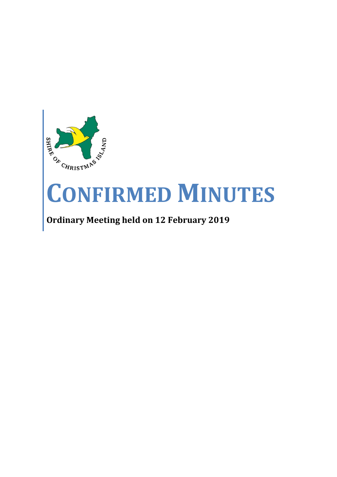

# **CONFIRMED MINUTES**

## **Ordinary Meeting held on 12 February 2019**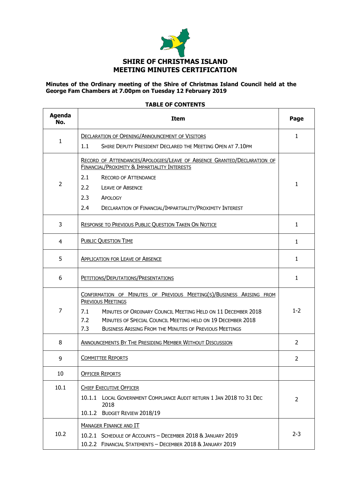

#### **Minutes of the Ordinary meeting of the Shire of Christmas Island Council held at the George Fam Chambers at 7.00pm on Tuesday 12 February 2019**

#### **TABLE OF CONTENTS**

| <b>Agenda</b><br>No. | <b>Item</b>                                                                                                                                                                                                                                                                                                    | Page           |
|----------------------|----------------------------------------------------------------------------------------------------------------------------------------------------------------------------------------------------------------------------------------------------------------------------------------------------------------|----------------|
|                      | <b>DECLARATION OF OPENING/ANNOUNCEMENT OF VISITORS</b>                                                                                                                                                                                                                                                         | $\mathbf{1}$   |
| $\mathbf{1}$         | 1.1<br>SHIRE DEPUTY PRESIDENT DECLARED THE MEETING OPEN AT 7.10PM                                                                                                                                                                                                                                              |                |
|                      | RECORD OF ATTENDANCES/APOLOGIES/LEAVE OF ABSENCE GRANTED/DECLARATION OF<br>FINANCIAL/PROXIMITY & IMPARTIALITY INTERESTS                                                                                                                                                                                        |                |
|                      | 2.1<br><b>RECORD OF ATTENDANCE</b>                                                                                                                                                                                                                                                                             |                |
| $\overline{2}$       | 2.2<br><b>LEAVE OF ABSENCE</b>                                                                                                                                                                                                                                                                                 | $\mathbf{1}$   |
|                      | 2.3<br>APOLOGY                                                                                                                                                                                                                                                                                                 |                |
|                      | 2.4<br>DECLARATION OF FINANCIAL/IMPARTIALITY/PROXIMITY INTEREST                                                                                                                                                                                                                                                |                |
| 3                    | RESPONSE TO PREVIOUS PUBLIC QUESTION TAKEN ON NOTICE                                                                                                                                                                                                                                                           | $\mathbf{1}$   |
| 4                    | <b>PUBLIC QUESTION TIME</b>                                                                                                                                                                                                                                                                                    | 1              |
| 5                    | <b>APPLICATION FOR LEAVE OF ABSENCE</b>                                                                                                                                                                                                                                                                        | $\mathbf{1}$   |
| 6                    | PETITIONS/DEPUTATIONS/PRESENTATIONS                                                                                                                                                                                                                                                                            | 1              |
| 7                    | CONFIRMATION OF MINUTES OF PREVIOUS MEETING(S)/BUSINESS ARISING FROM<br>PREVIOUS MEETINGS<br>MINUTES OF ORDINARY COUNCIL MEETING HELD ON 11 DECEMBER 2018<br>7.1<br>7.2<br>MINUTES OF SPECIAL COUNCIL MEETING HELD ON 19 DECEMBER 2018<br>7.3<br><b>BUSINESS ARISING FROM THE MINUTES OF PREVIOUS MEETINGS</b> | $1 - 2$        |
| 8                    | ANNOUNCEMENTS BY THE PRESIDING MEMBER WITHOUT DISCUSSION                                                                                                                                                                                                                                                       | 2              |
| 9                    | <b>COMMITTEE REPORTS</b>                                                                                                                                                                                                                                                                                       | $\overline{2}$ |
| 10                   | <b>OFFICER REPORTS</b>                                                                                                                                                                                                                                                                                         |                |
| 10.1                 | <b>CHIEF EXECUTIVE OFFICER</b>                                                                                                                                                                                                                                                                                 |                |
|                      | 10.1.1 LOCAL GOVERNMENT COMPLIANCE AUDIT RETURN 1 JAN 2018 TO 31 DEC<br>2018                                                                                                                                                                                                                                   | $\overline{2}$ |
|                      | 10.1.2<br>BUDGET REVIEW 2018/19                                                                                                                                                                                                                                                                                |                |
|                      | <b>MANAGER FINANCE AND IT</b>                                                                                                                                                                                                                                                                                  |                |
| 10.2                 | 10.2.1 SCHEDULE OF ACCOUNTS - DECEMBER 2018 & JANUARY 2019<br>10.2.2 FINANCIAL STATEMENTS - DECEMBER 2018 & JANUARY 2019                                                                                                                                                                                       | $2 - 3$        |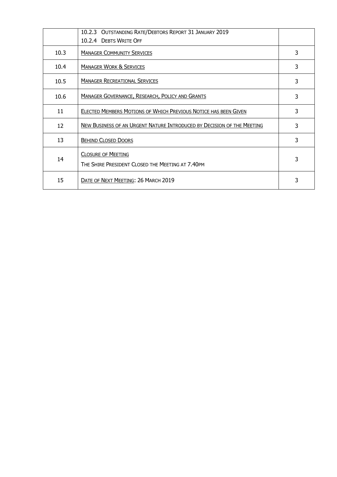|      | 10.2.3 OUTSTANDING RATE/DEBTORS REPORT 31 JANUARY 2019                        |   |
|------|-------------------------------------------------------------------------------|---|
|      | 10.2.4 DEBTS WRITE OFF                                                        |   |
| 10.3 | <b>MANAGER COMMUNITY SERVICES</b>                                             | 3 |
| 10.4 | <b>MANAGER WORK &amp; SERVICES</b>                                            | 3 |
| 10.5 | <b>MANAGER RECREATIONAL SERVICES</b>                                          | 3 |
| 10.6 | <b>MANAGER GOVERNANCE, RESEARCH, POLICY AND GRANTS</b>                        | 3 |
| 11   | <b>ELECTED MEMBERS MOTIONS OF WHICH PREVIOUS NOTICE HAS BEEN GIVEN</b>        | 3 |
| 12   | NEW BUSINESS OF AN URGENT NATURE INTRODUCED BY DECISION OF THE MEETING        | 3 |
| 13   | <b>BEHIND CLOSED DOORS</b>                                                    | 3 |
| 14   | <b>CLOSURE OF MEETING</b><br>THE SHIRE PRESIDENT CLOSED THE MEETING AT 7.40PM | 3 |
| 15   | DATE OF NEXT MEETING: 26 MARCH 2019                                           |   |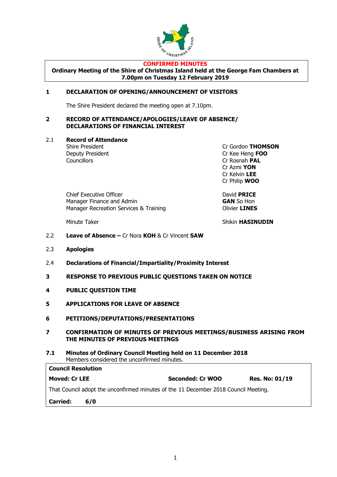

#### **CONFIRMED MINUTES**

**Ordinary Meeting of the Shire of Christmas Island held at the George Fam Chambers at 7.00pm on Tuesday 12 February 2019**

#### **1 DECLARATION OF OPENING/ANNOUNCEMENT OF VISITORS**

The Shire President declared the meeting open at 7.10pm.

#### **2 RECORD OF ATTENDANCE/APOLOGIES/LEAVE OF ABSENCE/ DECLARATIONS OF FINANCIAL INTEREST**

2.1 **Record of Attendance**

Councillors Cr Rosnah **PAL**

Shire President Cr Gordon **THOMSON** Deputy President Cr Kee Heng **FOO** Cr Azmi **YON** Cr Kelvin **LEE** Cr Philip **WOO**

Chief Executive Officer **Chief Executive Officer** David **PRICE**<br>
Manager Finance and Admin **Manager Finance and Admin** Manager Recreation Services & Training **Contains Climber Convention Clivier LINES** 

Minute Taker Shikin **HASINUDIN** 

- 2.2 **Leave of Absence –** Cr Nora **KOH** & Cr Vincent **SAW**
- 2.3 **Apologies**
- 2.4 **Declarations of Financial/Impartiality/Proximity Interest**
- **3 RESPONSE TO PREVIOUS PUBLIC QUESTIONS TAKEN ON NOTICE**
- **4 PUBLIC QUESTION TIME**
- **5 APPLICATIONS FOR LEAVE OF ABSENCE**
- **6 PETITIONS/DEPUTATIONS/PRESENTATIONS**
- **7 CONFIRMATION OF MINUTES OF PREVIOUS MEETINGS/BUSINESS ARISING FROM THE MINUTES OF PREVIOUS MEETINGS**
- **7.1 Minutes of Ordinary Council Meeting held on 11 December 2018** Members considered the unconfirmed minutes.

| <b>Carried:</b>           | 6/0                                                                                 |                  |                       |
|---------------------------|-------------------------------------------------------------------------------------|------------------|-----------------------|
|                           | That Council adopt the unconfirmed minutes of the 11 December 2018 Council Meeting. |                  |                       |
| <b>Moved: Cr LEE</b>      |                                                                                     | Seconded: Cr WOO | <b>Res. No: 01/19</b> |
| <b>Council Resolution</b> |                                                                                     |                  |                       |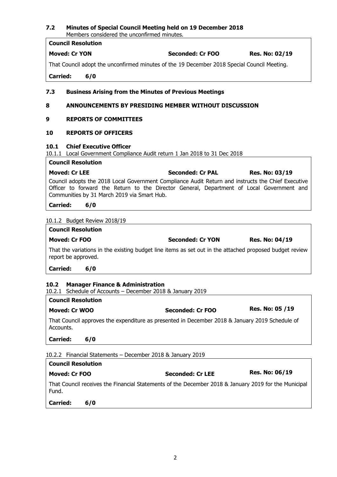| <b>Council Resolution</b>                                                                                            |                                                                                                                                                                                                 |                       |
|----------------------------------------------------------------------------------------------------------------------|-------------------------------------------------------------------------------------------------------------------------------------------------------------------------------------------------|-----------------------|
| <b>Moved: Cr YON</b>                                                                                                 | Seconded: Cr FOO                                                                                                                                                                                | <b>Res. No: 02/19</b> |
|                                                                                                                      | That Council adopt the unconfirmed minutes of the 19 December 2018 Special Council Meeting.                                                                                                     |                       |
| <b>Carried:</b><br>6/0                                                                                               |                                                                                                                                                                                                 |                       |
| 7.3                                                                                                                  | <b>Business Arising from the Minutes of Previous Meetings</b>                                                                                                                                   |                       |
| 8                                                                                                                    | <b>ANNOUNCEMENTS BY PRESIDING MEMBER WITHOUT DISCUSSION</b>                                                                                                                                     |                       |
| <b>REPORTS OF COMMITTEES</b><br>9                                                                                    |                                                                                                                                                                                                 |                       |
| <b>REPORTS OF OFFICERS</b><br>10                                                                                     |                                                                                                                                                                                                 |                       |
| <b>Chief Executive Officer</b><br>10.1<br>10.1.1 Local Government Compliance Audit return 1 Jan 2018 to 31 Dec 2018  |                                                                                                                                                                                                 |                       |
| <b>Council Resolution</b>                                                                                            |                                                                                                                                                                                                 |                       |
| <b>Moved: Cr LEE</b>                                                                                                 | <b>Seconded: Cr PAL</b>                                                                                                                                                                         | Res. No: 03/19        |
| Communities by 31 March 2019 via Smart Hub.                                                                          | Council adopts the 2018 Local Government Compliance Audit Return and instructs the Chief Executive<br>Officer to forward the Return to the Director General, Department of Local Government and |                       |
| <b>Carried:</b><br>6/0                                                                                               |                                                                                                                                                                                                 |                       |
| 10.1.2 Budget Review 2018/19                                                                                         |                                                                                                                                                                                                 |                       |
| <b>Council Resolution</b>                                                                                            |                                                                                                                                                                                                 |                       |
| <b>Moved: Cr FOO</b>                                                                                                 | <b>Seconded: Cr YON</b>                                                                                                                                                                         | <b>Res. No: 04/19</b> |
| report be approved.                                                                                                  | That the variations in the existing budget line items as set out in the attached proposed budget review                                                                                         |                       |
| <b>Carried:</b><br>6/0                                                                                               |                                                                                                                                                                                                 |                       |
| 10.2<br><b>Manager Finance &amp; Administration</b><br>Schedule of Accounts - December 2018 & January 2019<br>10.2.1 |                                                                                                                                                                                                 |                       |
| <b>Council Resolution</b>                                                                                            |                                                                                                                                                                                                 |                       |
| Moved: Cr WOO                                                                                                        | <b>Seconded: Cr FOO</b>                                                                                                                                                                         | Res. No: 05 /19       |
| Accounts.                                                                                                            | That Council approves the expenditure as presented in December 2018 & January 2019 Schedule of                                                                                                  |                       |
| <b>Carried:</b><br>6/0                                                                                               |                                                                                                                                                                                                 |                       |
| 10.2.2 Financial Statements - December 2018 & January 2019                                                           |                                                                                                                                                                                                 |                       |
| <b>Council Resolution</b>                                                                                            |                                                                                                                                                                                                 |                       |
| <b>Moved: Cr FOO</b>                                                                                                 | <b>Seconded: Cr LEE</b>                                                                                                                                                                         | <b>Res. No: 06/19</b> |
| Fund.                                                                                                                | That Council receives the Financial Statements of the December 2018 & January 2019 for the Municipal                                                                                            |                       |

**7.2 Minutes of Special Council Meeting held on 19 December 2018**

Members considered the unconfirmed minutes.

#### **Carried: 6/0**